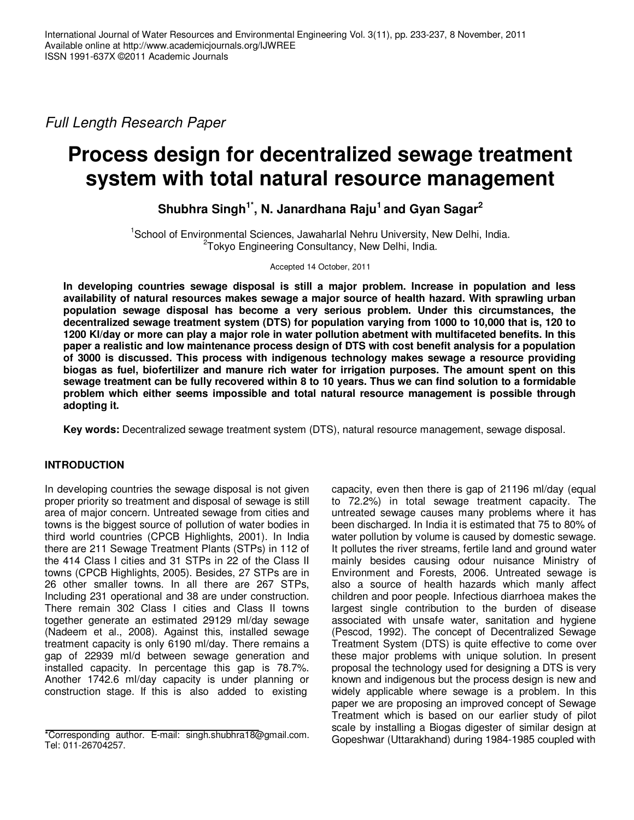Full Length Research Paper

# **Process design for decentralized sewage treatment system with total natural resource management**

**Shubhra Singh1\*, N. Janardhana Raju<sup>1</sup>and Gyan Sagar<sup>2</sup>**

<sup>1</sup>School of Environmental Sciences, Jawaharlal Nehru University, New Delhi, India. <sup>2</sup>Tokyo Engineering Consultancy, New Delhi, India.

Accepted 14 October, 2011

**In developing countries sewage disposal is still a major problem. Increase in population and less availability of natural resources makes sewage a major source of health hazard. With sprawling urban population sewage disposal has become a very serious problem. Under this circumstances, the decentralized sewage treatment system (DTS) for population varying from 1000 to 10,000 that is, 120 to 1200 Kl/day or more can play a major role in water pollution abetment with multifaceted benefits. In this paper a realistic and low maintenance process design of DTS with cost benefit analysis for a population of 3000 is discussed. This process with indigenous technology makes sewage a resource providing biogas as fuel, biofertilizer and manure rich water for irrigation purposes. The amount spent on this sewage treatment can be fully recovered within 8 to 10 years. Thus we can find solution to a formidable problem which either seems impossible and total natural resource management is possible through adopting it.** 

**Key words:** Decentralized sewage treatment system (DTS), natural resource management, sewage disposal.

# **INTRODUCTION**

In developing countries the sewage disposal is not given proper priority so treatment and disposal of sewage is still area of major concern. Untreated sewage from cities and towns is the biggest source of pollution of water bodies in third world countries (CPCB Highlights, 2001). In India there are 211 Sewage Treatment Plants (STPs) in 112 of the 414 Class I cities and 31 STPs in 22 of the Class II towns (CPCB Highlights, 2005). Besides, 27 STPs are in 26 other smaller towns. In all there are 267 STPs, Including 231 operational and 38 are under construction. There remain 302 Class I cities and Class II towns together generate an estimated 29129 ml/day sewage (Nadeem et al., 2008). Against this, installed sewage treatment capacity is only 6190 ml/day. There remains a gap of 22939 ml/d between sewage generation and installed capacity. In percentage this gap is 78.7%. Another 1742.6 ml/day capacity is under planning or construction stage. If this is also added to existing

capacity, even then there is gap of 21196 ml/day (equal to 72.2%) in total sewage treatment capacity. The untreated sewage causes many problems where it has been discharged. In India it is estimated that 75 to 80% of water pollution by volume is caused by domestic sewage. It pollutes the river streams, fertile land and ground water mainly besides causing odour nuisance Ministry of Environment and Forests, 2006. Untreated sewage is also a source of health hazards which manly affect children and poor people. Infectious diarrhoea makes the largest single contribution to the burden of disease associated with unsafe water, sanitation and hygiene (Pescod, 1992). The concept of Decentralized Sewage Treatment System (DTS) is quite effective to come over these major problems with unique solution. In present proposal the technology used for designing a DTS is very known and indigenous but the process design is new and widely applicable where sewage is a problem. In this paper we are proposing an improved concept of Sewage Treatment which is based on our earlier study of pilot scale by installing a Biogas digester of similar design at Gopeshwar (Uttarakhand) during 1984-1985 coupled with

<sup>\*</sup>Corresponding author. E-mail: singh.shubhra18@gmail.com. Tel: 011-26704257.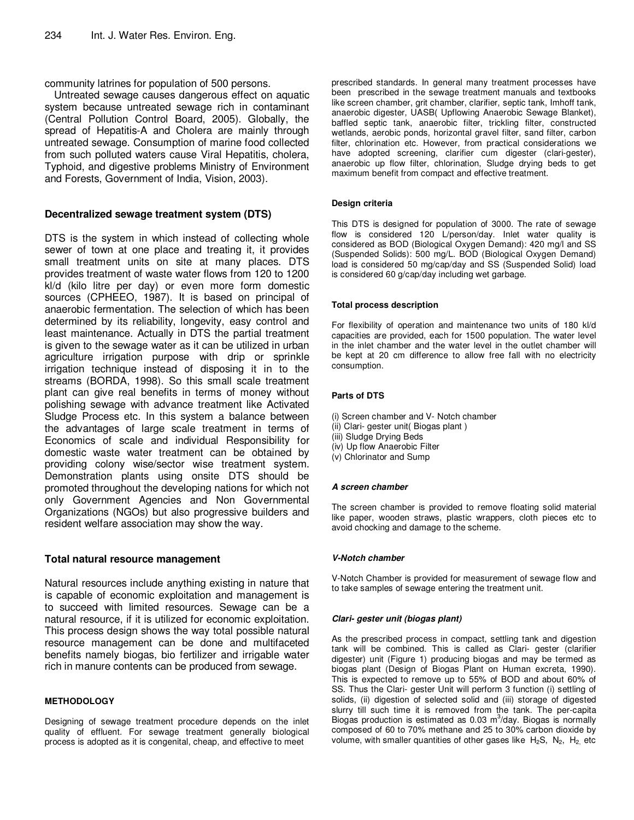community latrines for population of 500 persons.

Untreated sewage causes dangerous effect on aquatic system because untreated sewage rich in contaminant (Central Pollution Control Board, 2005). Globally, the spread of Hepatitis-A and Cholera are mainly through untreated sewage. Consumption of marine food collected from such polluted waters cause Viral Hepatitis, cholera, Typhoid, and digestive problems Ministry of Environment and Forests, Government of India, Vision, 2003).

# **Decentralized sewage treatment system (DTS)**

DTS is the system in which instead of collecting whole sewer of town at one place and treating it, it provides small treatment units on site at many places. DTS provides treatment of waste water flows from 120 to 1200 kl/d (kilo litre per day) or even more form domestic sources (CPHEEO, 1987). It is based on principal of anaerobic fermentation. The selection of which has been determined by its reliability, longevity, easy control and least maintenance. Actually in DTS the partial treatment is given to the sewage water as it can be utilized in urban agriculture irrigation purpose with drip or sprinkle irrigation technique instead of disposing it in to the streams (BORDA, 1998). So this small scale treatment plant can give real benefits in terms of money without polishing sewage with advance treatment like Activated Sludge Process etc. In this system a balance between the advantages of large scale treatment in terms of Economics of scale and individual Responsibility for domestic waste water treatment can be obtained by providing colony wise/sector wise treatment system. Demonstration plants using onsite DTS should be promoted throughout the developing nations for which not only Government Agencies and Non Governmental Organizations (NGOs) but also progressive builders and resident welfare association may show the way.

# **Total natural resource management**

Natural resources include anything existing in nature that is capable of economic exploitation and management is to succeed with limited resources. Sewage can be a natural resource, if it is utilized for economic exploitation. This process design shows the way total possible natural resource management can be done and multifaceted benefits namely biogas, bio fertilizer and irrigable water rich in manure contents can be produced from sewage.

# **METHODOLOGY**

Designing of sewage treatment procedure depends on the inlet quality of effluent. For sewage treatment generally biological process is adopted as it is congenital, cheap, and effective to meet

prescribed standards. In general many treatment processes have been prescribed in the sewage treatment manuals and textbooks like screen chamber, grit chamber, clarifier, septic tank, Imhoff tank, anaerobic digester, UASB( Upflowing Anaerobic Sewage Blanket), baffled septic tank, anaerobic filter, trickling filter, constructed wetlands, aerobic ponds, horizontal gravel filter, sand filter, carbon filter, chlorination etc. However, from practical considerations we have adopted screening, clarifier cum digester (clari-gester), anaerobic up flow filter, chlorination, Sludge drying beds to get maximum benefit from compact and effective treatment.

## **Design criteria**

This DTS is designed for population of 3000. The rate of sewage flow is considered 120 L/person/day. Inlet water quality is considered as BOD (Biological Oxygen Demand): 420 mg/l and SS (Suspended Solids): 500 mg/L. BOD (Biological Oxygen Demand) load is considered 50 mg/cap/day and SS (Suspended Solid) load is considered 60 g/cap/day including wet garbage.

## **Total process description**

For flexibility of operation and maintenance two units of 180 kl/d capacities are provided, each for 1500 population. The water level in the inlet chamber and the water level in the outlet chamber will be kept at 20 cm difference to allow free fall with no electricity consumption.

# **Parts of DTS**

- (i) Screen chamber and V- Notch chamber
- (ii) Clari- gester unit( Biogas plant )
- (iii) Sludge Drying Beds
- (iv) Up flow Anaerobic Filter
- (v) Chlorinator and Sump

## **A screen chamber**

The screen chamber is provided to remove floating solid material like paper, wooden straws, plastic wrappers, cloth pieces etc to avoid chocking and damage to the scheme.

## **V-Notch chamber**

V-Notch Chamber is provided for measurement of sewage flow and to take samples of sewage entering the treatment unit.

## **Clari- gester unit (biogas plant)**

As the prescribed process in compact, settling tank and digestion tank will be combined. This is called as Clari- gester (clarifier digester) unit (Figure 1) producing biogas and may be termed as biogas plant (Design of Biogas Plant on Human excreta, 1990). This is expected to remove up to 55% of BOD and about 60% of SS. Thus the Clari- gester Unit will perform 3 function (i) settling of solids, (ii) digestion of selected solid and (iii) storage of digested slurry till such time it is removed from the tank. The per-capita Biogas production is estimated as  $0.03 \text{ m}^3$ /day. Biogas is normally composed of 60 to 70% methane and 25 to 30% carbon dioxide by volume, with smaller quantities of other gases like  $H_2S$ ,  $N_2$ ,  $H_2$  etc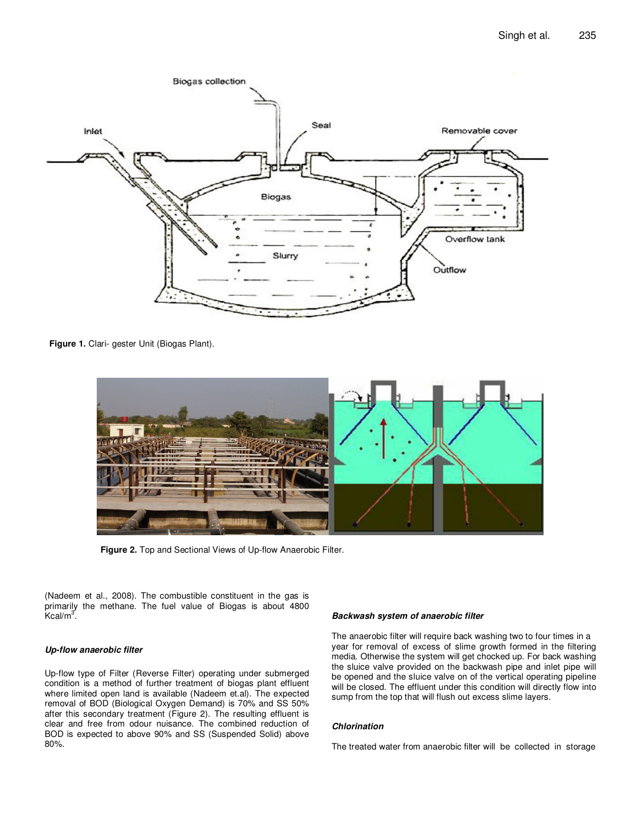

**Figure 1.** Clari- gester Unit (Biogas Plant).



**Figure 2.** Top and Sectional Views of Up-flow Anaerobic Filter.

(Nadeem et al., 2008). The combustible constituent in the gas is primarily the methane. The fuel value of Biogas is about 4800  $\kappa$ cal/m $^3$ .

## **Up-flow anaerobic filter**

Up-flow type of Filter (Reverse Filter) operating under submerged condition is a method of further treatment of biogas plant effluent where limited open land is available (Nadeem et.al). The expected removal of BOD (Biological Oxygen Demand) is 70% and SS 50% after this secondary treatment (Figure 2). The resulting effluent is clear and free from odour nuisance. The combined reduction of BOD is expected to above 90% and SS (Suspended Solid) above 80%.

## **Backwash system of anaerobic filter**

The anaerobic filter will require back washing two to four times in a year for removal of excess of slime growth formed in the filtering media. Otherwise the system will get chocked up. For back washing the sluice valve provided on the backwash pipe and inlet pipe will be opened and the sluice valve on of the vertical operating pipeline will be closed. The effluent under this condition will directly flow into sump from the top that will flush out excess slime layers.

#### **Chlorination**

The treated water from anaerobic filter will be collected in storage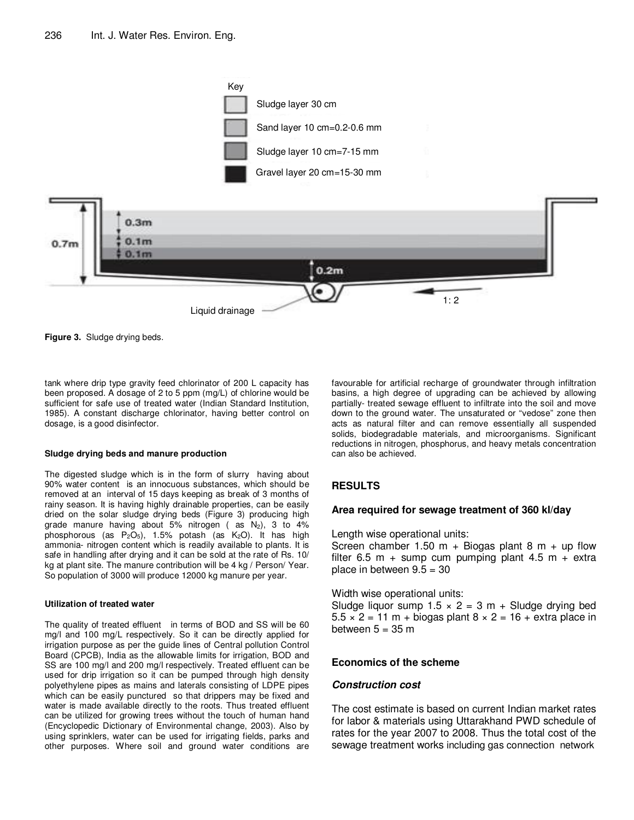

**Figure 3.** Sludge drying beds.

tank where drip type gravity feed chlorinator of 200 L capacity has been proposed. A dosage of 2 to 5 ppm (mg/L) of chlorine would be sufficient for safe use of treated water (Indian Standard Institution, 1985). A constant discharge chlorinator, having better control on dosage, is a good disinfector.

#### **Sludge drying beds and manure production**

The digested sludge which is in the form of slurry having about 90% water content is an innocuous substances, which should be removed at an interval of 15 days keeping as break of 3 months of rainy season. It is having highly drainable properties, can be easily dried on the solar sludge drying beds (Figure 3) producing high grade manure having about 5% nitrogen (as  $N_2$ ), 3 to 4% phosphorous (as  $P_2O_5$ ), 1.5% potash (as  $K_2O$ ). It has high ammonia- nitrogen content which is readily available to plants. It is safe in handling after drying and it can be sold at the rate of Rs. 10/ kg at plant site. The manure contribution will be 4 kg / Person/ Year. So population of 3000 will produce 12000 kg manure per year.

### **Utilization of treated water**

The quality of treated effluent in terms of BOD and SS will be 60 mg/l and 100 mg/L respectively. So it can be directly applied for irrigation purpose as per the guide lines of Central pollution Control Board (CPCB), India as the allowable limits for irrigation, BOD and SS are 100 mg/l and 200 mg/l respectively. Treated effluent can be used for drip irrigation so it can be pumped through high density polyethylene pipes as mains and laterals consisting of LDPE pipes which can be easily punctured so that drippers may be fixed and water is made available directly to the roots. Thus treated effluent can be utilized for growing trees without the touch of human hand (Encyclopedic Dictionary of Environmental change, 2003). Also by using sprinklers, water can be used for irrigating fields, parks and other purposes. Where soil and ground water conditions are

favourable for artificial recharge of groundwater through infiltration basins, a high degree of upgrading can be achieved by allowing partially- treated sewage effluent to infiltrate into the soil and move down to the ground water. The unsaturated or "vedose" zone then acts as natural filter and can remove essentially all suspended solids, biodegradable materials, and microorganisms. Significant reductions in nitrogen, phosphorus, and heavy metals concentration can also be achieved.

# **RESULTS**

## **Area required for sewage treatment of 360 kl/day**

Length wise operational units:

Screen chamber 1.50 m + Biogas plant 8 m + up flow filter 6.5 m + sump cum pumping plant 4.5 m + extra place in between  $9.5 = 30$ 

Width wise operational units:

Sludge liquor sump  $1.5 \times 2 = 3$  m + Sludge drying bed  $5.5 \times 2 = 11$  m + biogas plant  $8 \times 2 = 16$  + extra place in between  $5 = 35$  m

# **Economics of the scheme**

## **Construction cost**

The cost estimate is based on current Indian market rates for labor & materials using Uttarakhand PWD schedule of rates for the year 2007 to 2008. Thus the total cost of the sewage treatment works including gas connection network